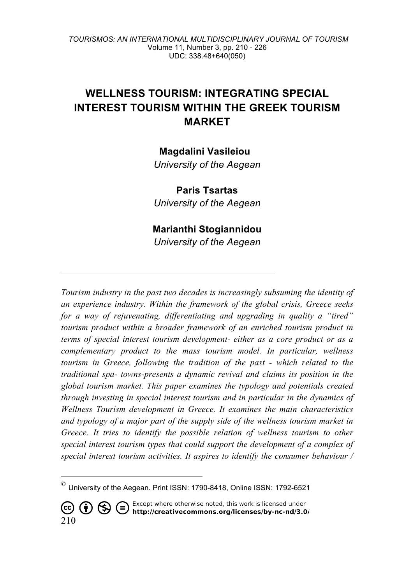# **WELLNESS TOURISM: INTEGRATING SPECIAL INTEREST TOURISM WITHIN THE GREEK TOURISM MARKET**

### **Magdalini Vasileiou**

*University of the Aegean*

**Paris Tsartas** *University of the Aegean*

**Marianthi Stogiannidou** *University of the Aegean*

*Tourism industry in the past two decades is increasingly subsuming the identity of an experience industry. Within the framework of the global crisis, Greece seeks for a way of rejuvenating, differentiating and upgrading in quality a "tired" tourism product within a broader framework of an enriched tourism product in terms of special interest tourism development- either as a core product or as a complementary product to the mass tourism model. In particular, wellness tourism in Greece, following the tradition of the past - which related to the traditional spa- towns-presents a dynamic revival and claims its position in the global tourism market. This paper examines the typology and potentials created through investing in special interest tourism and in particular in the dynamics of Wellness Tourism development in Greece. It examines the main characteristics and typology of a major part of the supply side of the wellness tourism market in Greece. It tries to identify the possible relation of wellness tourism to other special interest tourism types that could support the development of a complex of special interest tourism activities. It aspires to identify the consumer behaviour /* 

Except where otherwise noted, this work is licensed under  $\circledR \in$ (cc) († ) http://creativecommons.org/licenses/by-nc-nd/3.0/ 210

 $^{\circ}$  University of the Aegean. Print ISSN: 1790-8418, Online ISSN: 1792-6521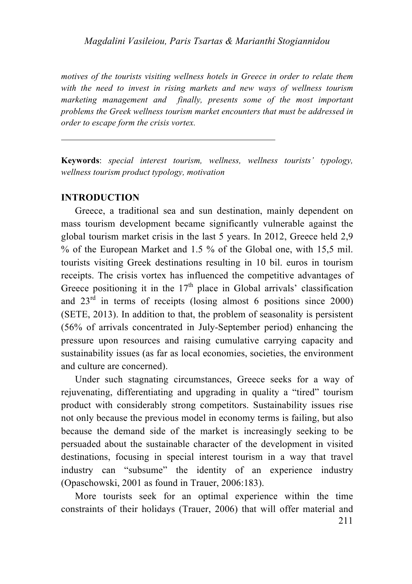*motives of the tourists visiting wellness hotels in Greece in order to relate them with the need to invest in rising markets and new ways of wellness tourism marketing management and finally, presents some of the most important problems the Greek wellness tourism market encounters that must be addressed in order to escape form the crisis vortex.*

**Keywords**: *special interest tourism, wellness, wellness tourists' typology, wellness tourism product typology, motivation*

### **INTRODUCTION**

Greece, a traditional sea and sun destination, mainly dependent on mass tourism development became significantly vulnerable against the global tourism market crisis in the last 5 years. In 2012, Greece held 2,9 % of the European Market and 1.5 % of the Global one, with 15,5 mil. tourists visiting Greek destinations resulting in 10 bil. euros in tourism receipts. The crisis vortex has influenced the competitive advantages of Greece positioning it in the  $17<sup>th</sup>$  place in Global arrivals' classification and  $23<sup>rd</sup>$  in terms of receipts (losing almost 6 positions since 2000) (SETE, 2013). In addition to that, the problem of seasonality is persistent (56% of arrivals concentrated in July-September period) enhancing the pressure upon resources and raising cumulative carrying capacity and sustainability issues (as far as local economies, societies, the environment and culture are concerned).

Under such stagnating circumstances, Greece seeks for a way of rejuvenating, differentiating and upgrading in quality a "tired" tourism product with considerably strong competitors. Sustainability issues rise not only because the previous model in economy terms is failing, but also because the demand side of the market is increasingly seeking to be persuaded about the sustainable character of the development in visited destinations, focusing in special interest tourism in a way that travel industry can "subsume" the identity of an experience industry (Opaschowski, 2001 as found in Trauer, 2006:183).

More tourists seek for an optimal experience within the time constraints of their holidays (Trauer, 2006) that will offer material and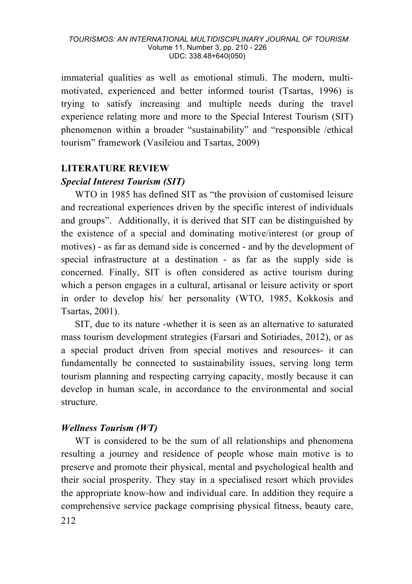immaterial qualities as well as emotional stimuli. The modern, multimotivated, experienced and better informed tourist (Tsartas, 1996) is trying to satisfy increasing and multiple needs during the travel experience relating more and more to the Special Interest Tourism (SIT) phenomenon within a broader "sustainability" and "responsible /ethical tourism" framework (Vasileiou and Tsartas, 2009)

### **LITERATURE REVIEW**

### *Special Interest Tourism (SIT)*

WTO in 1985 has defined SIT as "the provision of customised leisure and recreational experiences driven by the specific interest of individuals and groups". Additionally, it is derived that SIT can be distinguished by the existence of a special and dominating motive/interest (or group of motives) - as far as demand side is concerned - and by the development of special infrastructure at a destination - as far as the supply side is concerned. Finally, SIT is often considered as active tourism during which a person engages in a cultural, artisanal or leisure activity or sport in order to develop his/ her personality (WTO, 1985, Kokkosis and Tsartas, 2001).

SIT, due to its nature -whether it is seen as an alternative to saturated mass tourism development strategies (Farsari and Sotiriades, 2012), or as a special product driven from special motives and resources- it can fundamentally be connected to sustainability issues, serving long term tourism planning and respecting carrying capacity, mostly because it can develop in human scale, in accordance to the environmental and social structure.

### *Wellness Tourism (WT)*

WT is considered to be the sum of all relationships and phenomena resulting a journey and residence of people whose main motive is to preserve and promote their physical, mental and psychological health and their social prosperity. They stay in a specialised resort which provides the appropriate know-how and individual care. In addition they require a comprehensive service package comprising physical fitness, beauty care,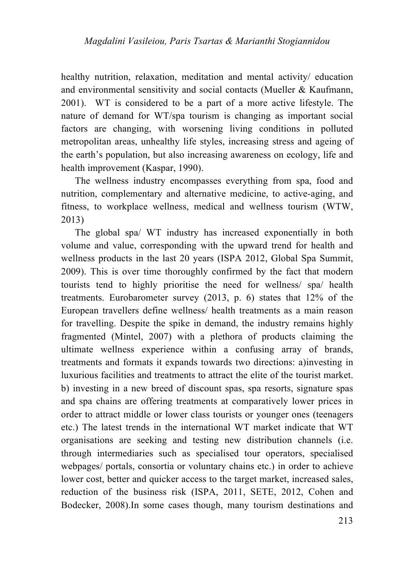healthy nutrition, relaxation, meditation and mental activity/ education and environmental sensitivity and social contacts (Mueller & Kaufmann, 2001). WT is considered to be a part of a more active lifestyle. The nature of demand for WT/spa tourism is changing as important social factors are changing, with worsening living conditions in polluted metropolitan areas, unhealthy life styles, increasing stress and ageing of the earth's population, but also increasing awareness on ecology, life and health improvement (Kaspar, 1990).

The wellness industry encompasses everything from spa, food and nutrition, complementary and alternative medicine, to active-aging, and fitness, to workplace wellness, medical and wellness tourism (WTW, 2013)

The global spa/ WT industry has increased exponentially in both volume and value, corresponding with the upward trend for health and wellness products in the last 20 years (ISPA 2012, Global Spa Summit, 2009). This is over time thoroughly confirmed by the fact that modern tourists tend to highly prioritise the need for wellness/ spa/ health treatments. Eurobarometer survey (2013, p. 6) states that 12% of the European travellers define wellness/ health treatments as a main reason for travelling. Despite the spike in demand, the industry remains highly fragmented (Mintel, 2007) with a plethora of products claiming the ultimate wellness experience within a confusing array of brands, treatments and formats it expands towards two directions: a)investing in luxurious facilities and treatments to attract the elite of the tourist market. b) investing in a new breed of discount spas, spa resorts, signature spas and spa chains are offering treatments at comparatively lower prices in order to attract middle or lower class tourists or younger ones (teenagers etc.) The latest trends in the international WT market indicate that WT organisations are seeking and testing new distribution channels (i.e. through intermediaries such as specialised tour operators, specialised webpages/ portals, consortia or voluntary chains etc.) in order to achieve lower cost, better and quicker access to the target market, increased sales, reduction of the business risk (ISPA, 2011, SETE, 2012, Cohen and Bodecker, 2008).In some cases though, many tourism destinations and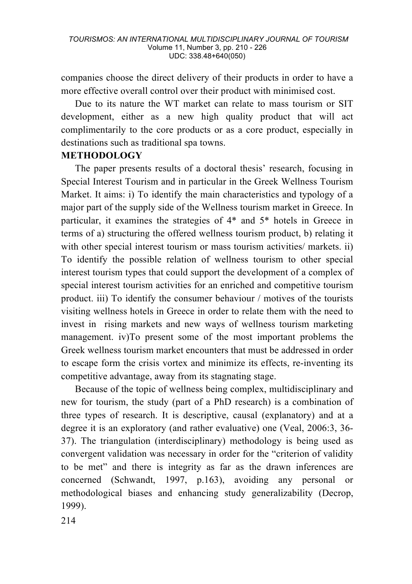companies choose the direct delivery of their products in order to have a more effective overall control over their product with minimised cost.

Due to its nature the WT market can relate to mass tourism or SIT development, either as a new high quality product that will act complimentarily to the core products or as a core product, especially in destinations such as traditional spa towns.

### **METHODOLOGY**

The paper presents results of a doctoral thesis' research, focusing in Special Interest Tourism and in particular in the Greek Wellness Tourism Market. It aims: i) To identify the main characteristics and typology of a major part of the supply side of the Wellness tourism market in Greece. In particular, it examines the strategies of 4\* and 5\* hotels in Greece in terms of a) structuring the offered wellness tourism product, b) relating it with other special interest tourism or mass tourism activities/ markets. ii) To identify the possible relation of wellness tourism to other special interest tourism types that could support the development of a complex of special interest tourism activities for an enriched and competitive tourism product. iii) To identify the consumer behaviour / motives of the tourists visiting wellness hotels in Greece in order to relate them with the need to invest in rising markets and new ways of wellness tourism marketing management. iv)To present some of the most important problems the Greek wellness tourism market encounters that must be addressed in order to escape form the crisis vortex and minimize its effects, re-inventing its competitive advantage, away from its stagnating stage.

Because of the topic of wellness being complex, multidisciplinary and new for tourism, the study (part of a PhD research) is a combination of three types of research. It is descriptive, causal (explanatory) and at a degree it is an exploratory (and rather evaluative) one (Veal, 2006:3, 36- 37). The triangulation (interdisciplinary) methodology is being used as convergent validation was necessary in order for the "criterion of validity to be met" and there is integrity as far as the drawn inferences are concerned (Schwandt, 1997, p.163), avoiding any personal or methodological biases and enhancing study generalizability (Decrop, 1999).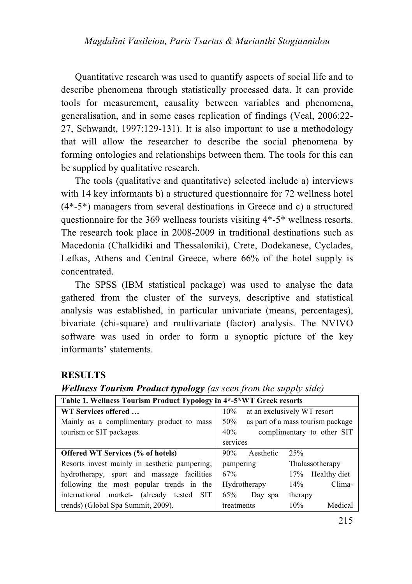Quantitative research was used to quantify aspects of social life and to describe phenomena through statistically processed data. It can provide tools for measurement, causality between variables and phenomena, generalisation, and in some cases replication of findings (Veal, 2006:22- 27, Schwandt, 1997:129-131). It is also important to use a methodology that will allow the researcher to describe the social phenomena by forming ontologies and relationships between them. The tools for this can be supplied by qualitative research.

The tools (qualitative and quantitative) selected include a) interviews with 14 key informants b) a structured questionnaire for 72 wellness hotel (4\*-5\*) managers from several destinations in Greece and c) a structured questionnaire for the 369 wellness tourists visiting 4\*-5\* wellness resorts. The research took place in 2008-2009 in traditional destinations such as Macedonia (Chalkidiki and Thessaloniki), Crete, Dodekanese, Cyclades, Lefkas, Athens and Central Greece, where 66% of the hotel supply is concentrated.

The SPSS (IBM statistical package) was used to analyse the data gathered from the cluster of the surveys, descriptive and statistical analysis was established, in particular univariate (means, percentages), bivariate (chi-square) and multivariate (factor) analysis. The NVIVO software was used in order to form a synoptic picture of the key informants' statements.

### **RESULTS**

| Table 1. Wellness Tourism Product Typology in 4*-5*WT Greek resorts |                                          |  |  |
|---------------------------------------------------------------------|------------------------------------------|--|--|
| WT Services offered                                                 | 10%<br>at an exclusively WT resort       |  |  |
| Mainly as a complimentary product to mass                           | as part of a mass tourism package<br>50% |  |  |
| tourism or SIT packages.                                            | 40%<br>complimentary to other SIT        |  |  |
|                                                                     | services                                 |  |  |
| <b>Offered WT Services (% of hotels)</b>                            | 25%<br>Aesthetic<br>90%                  |  |  |
| Resorts invest mainly in aesthetic pampering,                       | Thalassotherapy<br>pampering             |  |  |
| hydrotherapy, sport and massage facilities                          | Healthy diet<br>67%<br>17%               |  |  |
| following the most popular trends in the                            | Clima-<br>Hydrotherapy<br>14%            |  |  |
| international market- (already tested SIT                           | 65%<br>therapy<br>Day spa                |  |  |
| trends) (Global Spa Summit, 2009).                                  | 10%<br>Medical<br>treatments             |  |  |

*Wellness Tourism Product typology (as seen from the supply side)*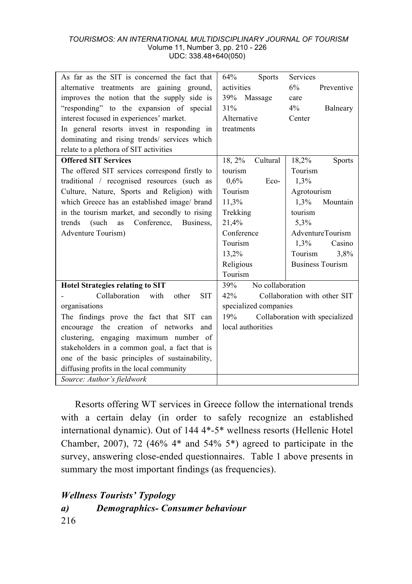| As far as the SIT is concerned the fact that       | 64%<br><b>Sports</b>    | Services                       |
|----------------------------------------------------|-------------------------|--------------------------------|
| alternative treatments are gaining ground,         | activities              | 6%<br>Preventive               |
| improves the notion that the supply side is        | 39%<br>Massage          | care                           |
| "responding" to the expansion of special           | 31%                     | 4%<br>Balneary                 |
| interest focused in experiences' market.           | Alternative             | Center                         |
| In general resorts invest in responding in         | treatments              |                                |
| dominating and rising trends/ services which       |                         |                                |
| relate to a plethora of SIT activities             |                         |                                |
| <b>Offered SIT Services</b>                        | 18, 2%<br>Cultural      | 18,2%<br><b>Sports</b>         |
| The offered SIT services correspond firstly to     | tourism                 | Tourism                        |
| traditional / recognised resources (such as        | $0.6\%$<br>Eco-         | 1,3%                           |
| Culture, Nature, Sports and Religion) with         | Tourism                 | Agrotourism                    |
| which Greece has an established image/ brand       | 11,3%                   | Mountain<br>1,3%               |
| in the tourism market, and secondly to rising      | Trekking                | tourism                        |
| trends<br>(such)<br>Conference,<br>Business.<br>as | 21,4%                   | 5.3%                           |
| Adventure Tourism)                                 | Conference              | AdventureTourism               |
|                                                    | Tourism                 | 1.3%<br>Casino                 |
|                                                    | 13,2%                   | Tourism<br>3,8%                |
|                                                    | Religious               | <b>Business Tourism</b>        |
|                                                    | Tourism                 |                                |
| <b>Hotel Strategies relating to SIT</b>            | No collaboration<br>39% |                                |
| Collaboration<br>with<br>other<br><b>SIT</b>       | 42%                     | Collaboration with other SIT   |
| organisations                                      | specialized companies   |                                |
| The findings prove the fact that SIT can           | 19%                     | Collaboration with specialized |
| encourage the creation of networks<br>and          | local authorities       |                                |
| clustering, engaging maximum number of             |                         |                                |
| stakeholders in a common goal, a fact that is      |                         |                                |
| one of the basic principles of sustainability,     |                         |                                |
| diffusing profits in the local community           |                         |                                |
| Source: Author's fieldwork                         |                         |                                |

Resorts offering WT services in Greece follow the international trends with a certain delay (in order to safely recognize an established international dynamic). Out of 144 4\*-5\* wellness resorts (Hellenic Hotel Chamber, 2007), 72 (46% 4 $*$  and 54% 5 $*$ ) agreed to participate in the survey, answering close-ended questionnaires. Table 1 above presents in summary the most important findings (as frequencies).

## 216 *Wellness Tourists' Typology a) Demographics- Consumer behaviour*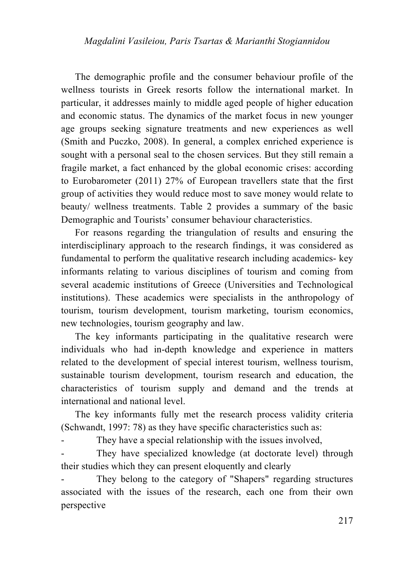The demographic profile and the consumer behaviour profile of the wellness tourists in Greek resorts follow the international market. In particular, it addresses mainly to middle aged people of higher education and economic status. The dynamics of the market focus in new younger age groups seeking signature treatments and new experiences as well (Smith and Puczko, 2008). In general, a complex enriched experience is sought with a personal seal to the chosen services. But they still remain a fragile market, a fact enhanced by the global economic crises: according to Eurobarometer (2011) 27% of European travellers state that the first group of activities they would reduce most to save money would relate to beauty/ wellness treatments. Table 2 provides a summary of the basic Demographic and Tourists' consumer behaviour characteristics.

For reasons regarding the triangulation of results and ensuring the interdisciplinary approach to the research findings, it was considered as fundamental to perform the qualitative research including academics- key informants relating to various disciplines of tourism and coming from several academic institutions of Greece (Universities and Technological institutions). These academics were specialists in the anthropology of tourism, tourism development, tourism marketing, tourism economics, new technologies, tourism geography and law.

The key informants participating in the qualitative research were individuals who had in-depth knowledge and experience in matters related to the development of special interest tourism, wellness tourism, sustainable tourism development, tourism research and education, the characteristics of tourism supply and demand and the trends at international and national level.

The key informants fully met the research process validity criteria (Schwandt, 1997: 78) as they have specific characteristics such as:

They have a special relationship with the issues involved,

They have specialized knowledge (at doctorate level) through their studies which they can present eloquently and clearly

They belong to the category of "Shapers" regarding structures associated with the issues of the research, each one from their own perspective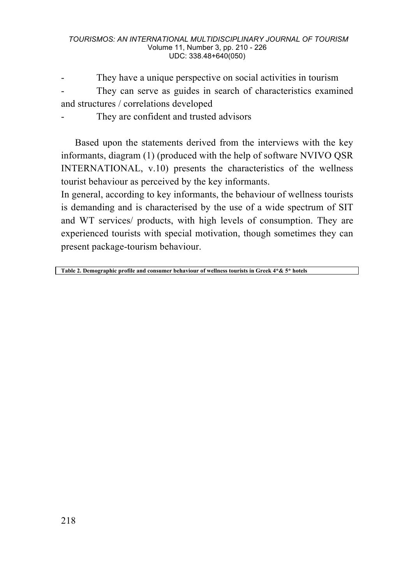They have a unique perspective on social activities in tourism They can serve as guides in search of characteristics examined and structures / correlations developed

They are confident and trusted advisors

Based upon the statements derived from the interviews with the key informants, diagram (1) (produced with the help of software NVIVO QSR INTERNATIONAL, v.10) presents the characteristics of the wellness tourist behaviour as perceived by the key informants.

In general, according to key informants, the behaviour of wellness tourists is demanding and is characterised by the use of a wide spectrum of SIT and WT services/ products, with high levels of consumption. They are experienced tourists with special motivation, though sometimes they can present package-tourism behaviour.

**Table 2. Demographic profile and consumer behaviour of wellness tourists in Greek 4\*& 5\* hotels**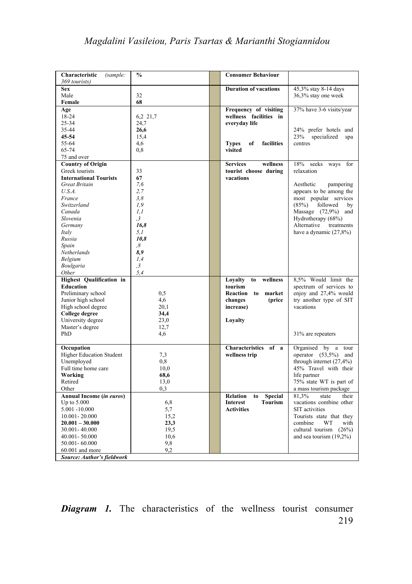| Characteristic<br>(sample:<br>369 tourists) | $\frac{0}{0}$         | <b>Consumer Behaviour</b>               |                              |
|---------------------------------------------|-----------------------|-----------------------------------------|------------------------------|
| <b>Sex</b>                                  |                       | <b>Duration of vacations</b>            | 45,3% stay 8-14 days         |
| Male                                        | 32                    |                                         | 36,3% stay one week          |
| Female                                      | 68                    |                                         |                              |
| Age                                         |                       | Frequency of visiting                   | 37% have 3-6 visits/year     |
| 18-24                                       | 6,2 21,7              | wellness facilities in                  |                              |
| 25-34                                       | 24,7                  | everyday life                           |                              |
| 35-44                                       | 26,6                  |                                         | 24% prefer hotels and        |
| $45 - 54$                                   | 15,4                  |                                         | specialized<br>23%<br>spa    |
| 55-64                                       | 4.6                   | <b>Types</b><br>facilities<br>of        | centres                      |
| 65-74                                       | 0.8                   | visited                                 |                              |
| 75 and over                                 |                       |                                         |                              |
| <b>Country of Origin</b>                    |                       | wellness<br><b>Services</b>             | 18% seeks<br>ways<br>for     |
| Greek tourists                              | 33                    | tourist choose during                   | relaxation                   |
| <b>International Tourists</b>               | 67                    | vacations                               |                              |
| <b>Great Britain</b>                        | 7.6                   |                                         | Aesthetic<br>pampering       |
| U.S.A.                                      | 2.7                   |                                         | appears to be among the      |
| France                                      | 3,8                   |                                         | most popular services        |
| Switzerland                                 | 1,9                   |                                         | (85%)<br>followed<br>by      |
| Canada                                      | 1.1                   |                                         | Massage (72,9%) and          |
| Slovenia                                    | $\cdot$ 3             |                                         | Hydrotherapy (68%)           |
| Germany                                     | 16,8                  |                                         | Alternative<br>treatments    |
| Italy                                       | 5.1                   |                                         | have a dynamic (27,8%)       |
| Russia                                      | 10,8                  |                                         |                              |
| Spain                                       | $\boldsymbol{\delta}$ |                                         |                              |
| Netherlands                                 | 8.9                   |                                         |                              |
| Belgium                                     | 1,4                   |                                         |                              |
| Boulgaria                                   | $\cdot$ 3             |                                         |                              |
| Other                                       | 5.4                   |                                         |                              |
| <b>Highest Qualification in</b>             |                       | Lovalty<br>wellness<br>to               | 8,5% Would limit the         |
| <b>Education</b>                            |                       | tourism                                 | spectrum of services to      |
| Preliminary school                          | 0,5                   | Reaction to<br>market                   | enjoy and 27,4% would        |
| Junior high school                          | 4,6                   | (price<br>changes                       | try another type of SIT      |
| High school degree                          | 20.1                  | increase)                               | vacations                    |
| College degree                              | 34,4                  |                                         |                              |
| University degree                           | 23,0                  | Loyalty                                 |                              |
| Master's degree                             | 12,7                  |                                         |                              |
| PhD                                         | 4,6                   |                                         | 31% are repeaters            |
|                                             |                       |                                         |                              |
| Occupation                                  |                       | Characteristics of a                    | Organised by a<br>tour       |
| <b>Higher Education Student</b>             | 7,3                   | wellness trip                           | operator $(53,5\%)$<br>and   |
| Unemployed                                  | 0.8                   |                                         | through internet $(27,4\%)$  |
| Full time home care                         | 10,0                  |                                         | 45% Travel with their        |
| Working                                     | 68,6                  |                                         | life partner                 |
| Retired                                     | 13,0                  |                                         | 75% state WT is part of      |
| Other                                       | 0,3                   |                                         | a mass tourism package       |
| Annual Income (in euros)                    |                       | <b>Relation</b><br><b>Special</b><br>to | 81.3%<br>state<br>their      |
| Up to 5.000                                 | 6,8                   | <b>Interest</b><br>Tourism              | vacations combine other      |
| 5.001 -10.000                               | 5,7                   | <b>Activities</b>                       | SIT activities               |
| 10.001-20.000                               | 15,2                  |                                         | Tourists state that they     |
| $20.001 - 30.000$                           | 23,3                  |                                         | combine<br>with<br><b>WT</b> |
| 30.001-40.000                               | 19,5                  |                                         | cultural tourism (26%)       |
| 40.001-50.000                               | 10,6                  |                                         | and sea tourism $(19,2\%)$   |
| 50.001-60.000                               | 9,8<br>9.2            |                                         |                              |
| 60.001 and more                             |                       |                                         |                              |
| Source: Author's fieldwork                  |                       |                                         |                              |

219 **Diagram 1.** The characteristics of the wellness tourist consumer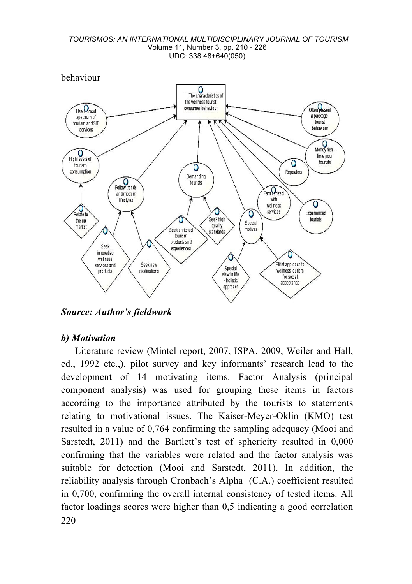

*Source: Author's fieldwork*

### *b) Motivation*

220 Literature review (Mintel report, 2007, ISPA, 2009, Weiler and Hall, ed., 1992 etc.,), pilot survey and key informants' research lead to the development of 14 motivating items. Factor Analysis (principal component analysis) was used for grouping these items in factors according to the importance attributed by the tourists to statements relating to motivational issues. The Kaiser-Meyer-Oklin (KMO) test resulted in a value of 0,764 confirming the sampling adequacy (Mooi and Sarstedt, 2011) and the Bartlett's test of sphericity resulted in 0,000 confirming that the variables were related and the factor analysis was suitable for detection (Mooi and Sarstedt, 2011). In addition, the reliability analysis through Cronbach's Alpha (C.A.) coefficient resulted in 0,700, confirming the overall internal consistency of tested items. All factor loadings scores were higher than 0,5 indicating a good correlation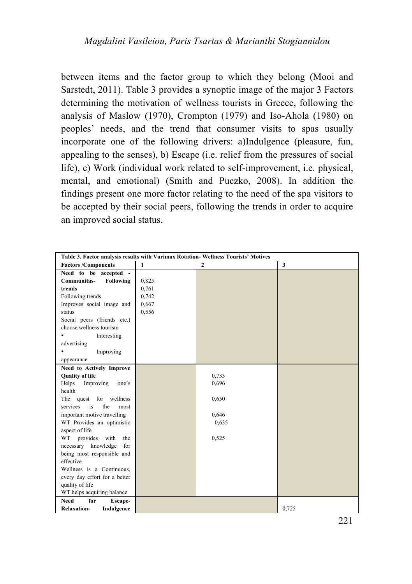between items and the factor group to which they belong (Mooi and Sarstedt, 2011). Table 3 provides a synoptic image of the major 3 Factors determining the motivation of wellness tourists in Greece, following the analysis of Maslow (1970), Crompton (1979) and Iso-Ahola (1980) on peoples' needs, and the trend that consumer visits to spas usually incorporate one of the following drivers: a)Indulgence (pleasure, fun, appealing to the senses), b) Escape (i.e. relief from the pressures of social life), c) Work (individual work related to self-improvement, i.e. physical, mental, and emotional) (Smith and Puczko, 2008). In addition the findings present one more factor relating to the need of the spa visitors to be accepted by their social peers, following the trends in order to acquire an improved social status.

| Table 3. Factor analysis results with Varimax Rotation-Wellness Tourists' Motives |              |              |       |
|-----------------------------------------------------------------------------------|--------------|--------------|-------|
| <b>Factors/Components</b>                                                         | $\mathbf{1}$ | $\mathbf{2}$ | 3     |
| Need to be accepted -                                                             |              |              |       |
| Communitas-<br>Following                                                          | 0,825        |              |       |
| trends                                                                            | 0.761        |              |       |
| Following trends                                                                  | 0,742        |              |       |
| Improves social image and                                                         | 0,667        |              |       |
| status                                                                            | 0,556        |              |       |
| Social peers (friends etc.)                                                       |              |              |       |
| choose wellness tourism                                                           |              |              |       |
| Interesting                                                                       |              |              |       |
| advertising                                                                       |              |              |       |
| Improving                                                                         |              |              |       |
| appearance                                                                        |              |              |       |
| Need to Actively Improve                                                          |              |              |       |
| <b>Quality of life</b>                                                            |              | 0,733        |       |
| Helps<br>Improving<br>one's                                                       |              | 0,696        |       |
| health                                                                            |              |              |       |
| The quest for wellness                                                            |              | 0,650        |       |
| the<br>services<br>is<br>most                                                     |              |              |       |
| important motive travelling                                                       |              | 0,646        |       |
| WT Provides an optimistic                                                         |              | 0,635        |       |
| aspect of life                                                                    |              |              |       |
| WT provides<br>with<br>the                                                        |              | 0,525        |       |
| necessary knowledge<br>for                                                        |              |              |       |
| being most responsible and                                                        |              |              |       |
| effective                                                                         |              |              |       |
| Wellness is a Continuous,                                                         |              |              |       |
| every day effort for a better                                                     |              |              |       |
| quality of life                                                                   |              |              |       |
| WT helps acquiring balance                                                        |              |              |       |
| for<br>Need<br>Escape-                                                            |              |              |       |
| <b>Relaxation-</b><br>Indulgence                                                  |              |              | 0,725 |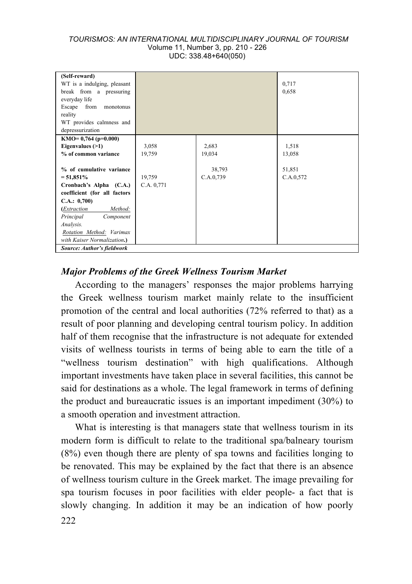| (Self-reward)                |            |           |           |
|------------------------------|------------|-----------|-----------|
| WT is a indulging, pleasant  |            |           | 0,717     |
| break from a pressuring      |            |           | 0,658     |
|                              |            |           |           |
| everyday life                |            |           |           |
| from<br>Escape<br>monotonus  |            |           |           |
| reality                      |            |           |           |
| WT provides calmness and     |            |           |           |
| depressurization             |            |           |           |
| $KMO=0,764$ (p=0.000)        |            |           |           |
| Eigenvalues (>1)             | 3,058      | 2,683     | 1,518     |
| % of common variance         | 19,759     | 19,034    | 13,058    |
|                              |            |           |           |
|                              |            |           |           |
| % of cumulative variance     |            | 38,793    | 51,851    |
| $= 51,851\%$                 | 19,759     | C.A.0.739 | C.A.0,572 |
| Cronbach's Alpha (C.A.)      | C.A. 0,771 |           |           |
| coefficient (for all factors |            |           |           |
| C.A.: 0,700                  |            |           |           |
| Method:<br>(Extraction       |            |           |           |
| Principal<br>Component       |            |           |           |
| Analysis.                    |            |           |           |
| Rotation Method: Varimax     |            |           |           |
| with Kaiser Normalization.)  |            |           |           |
| Source: Author's fieldwork   |            |           |           |

### *Major Problems of the Greek Wellness Tourism Market*

According to the managers' responses the major problems harrying the Greek wellness tourism market mainly relate to the insufficient promotion of the central and local authorities (72% referred to that) as a result of poor planning and developing central tourism policy. In addition half of them recognise that the infrastructure is not adequate for extended visits of wellness tourists in terms of being able to earn the title of a "wellness tourism destination" with high qualifications. Although important investments have taken place in several facilities, this cannot be said for destinations as a whole. The legal framework in terms of defining the product and bureaucratic issues is an important impediment (30%) to a smooth operation and investment attraction.

What is interesting is that managers state that wellness tourism in its modern form is difficult to relate to the traditional spa/balneary tourism (8%) even though there are plenty of spa towns and facilities longing to be renovated. This may be explained by the fact that there is an absence of wellness tourism culture in the Greek market. The image prevailing for spa tourism focuses in poor facilities with elder people- a fact that is slowly changing. In addition it may be an indication of how poorly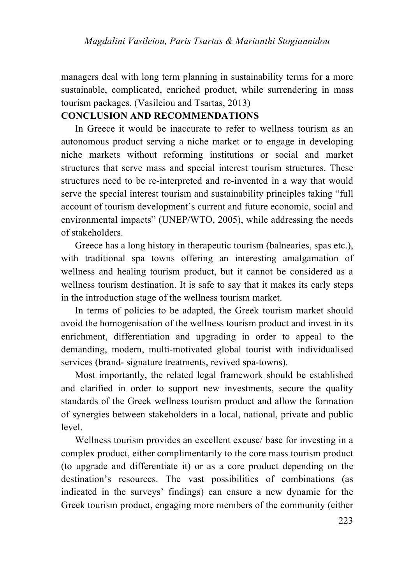managers deal with long term planning in sustainability terms for a more sustainable, complicated, enriched product, while surrendering in mass tourism packages. (Vasileiou and Tsartas, 2013)

### **CONCLUSION AND RECOMMENDATIONS**

In Greece it would be inaccurate to refer to wellness tourism as an autonomous product serving a niche market or to engage in developing niche markets without reforming institutions or social and market structures that serve mass and special interest tourism structures. These structures need to be re-interpreted and re-invented in a way that would serve the special interest tourism and sustainability principles taking "full account of tourism development's current and future economic, social and environmental impacts" (UNEP/WTO, 2005), while addressing the needs of stakeholders.

Greece has a long history in therapeutic tourism (balnearies, spas etc.), with traditional spa towns offering an interesting amalgamation of wellness and healing tourism product, but it cannot be considered as a wellness tourism destination. It is safe to say that it makes its early steps in the introduction stage of the wellness tourism market.

In terms of policies to be adapted, the Greek tourism market should avoid the homogenisation of the wellness tourism product and invest in its enrichment, differentiation and upgrading in order to appeal to the demanding, modern, multi-motivated global tourist with individualised services (brand- signature treatments, revived spa-towns).

Most importantly, the related legal framework should be established and clarified in order to support new investments, secure the quality standards of the Greek wellness tourism product and allow the formation of synergies between stakeholders in a local, national, private and public level.

Wellness tourism provides an excellent excuse/ base for investing in a complex product, either complimentarily to the core mass tourism product (to upgrade and differentiate it) or as a core product depending on the destination's resources. The vast possibilities of combinations (as indicated in the surveys' findings) can ensure a new dynamic for the Greek tourism product, engaging more members of the community (either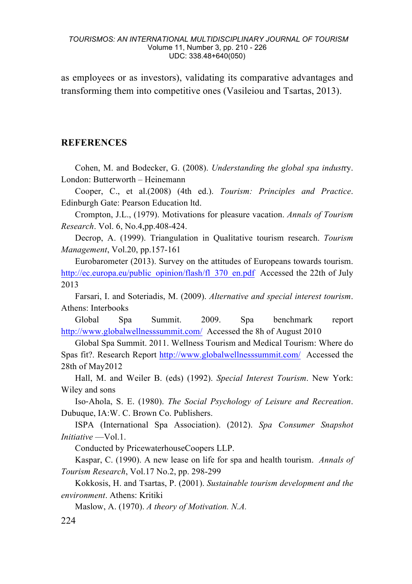as employees or as investors), validating its comparative advantages and transforming them into competitive ones (Vasileiou and Tsartas, 2013).

### **REFERENCES**

Cohen, M. and Bodecker, G. (2008). *Understanding the global spa indust*ry. London: Butterworth – Heinemann

Cooper, C., et al.(2008) (4th ed.). *Tourism: Principles and Practice*. Edinburgh Gate: Pearson Education ltd.

Crompton, J.L., (1979). Motivations for pleasure vacation. *Annals of Tourism Research*. Vol. 6, No.4,pp.408-424.

Decrop, A. (1999). Triangulation in Qualitative tourism research. *Tourism Management*, Vol.20, pp.157-161

Eurobarometer (2013). Survey on the attitudes of Europeans towards tourism. http://ec.europa.eu/public\_opinion/flash/fl\_370\_en.pdf Accessed the 22th of July 2013

Farsari, I. and Soteriadis, M. (2009). *Alternative and special interest tourism*. Athens: Interbooks

Global Spa Summit. 2009. Spa benchmark report http://www.globalwellnesssummit.com/ Accessed the 8h of August 2010

Global Spa Summit. 2011. Wellness Tourism and Medical Tourism: Where do Spas fit?. Research Report http://www.globalwellnesssummit.com/ Accessed the 28th of May2012

Hall, M. and Weiler B. (eds) (1992). *Special Interest Tourism*. New York: Wiley and sons

Iso-Ahola, S. E. (1980). *The Social Psychology of Leisure and Recreation*. Dubuque, IA:W. C. Brown Co. Publishers.

ISPA (International Spa Association). (2012). *Spa Consumer Snapshot Initiative* —Vol.1.

Conducted by PricewaterhouseCoopers LLP.

Kaspar, C. (1990). A new lease on life for spa and health tourism. *Annals of Tourism Research*, Vol.17 No.2, pp. 298-299

Kokkosis, H. and Tsartas, P. (2001). *Sustainable tourism development and the environment*. Athens: Kritiki

Maslow, A. (1970). *A theory of Motivation. N.A.*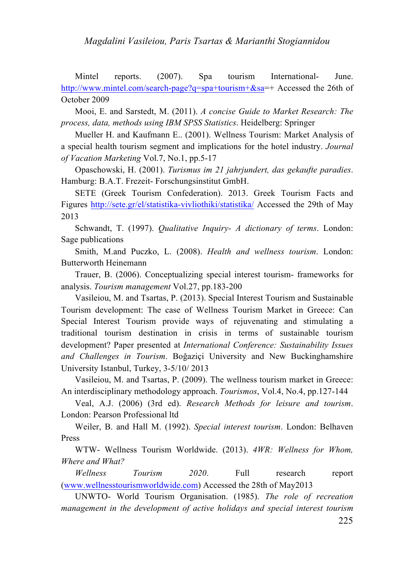Mintel reports. (2007). Spa tourism International- June. http://www.mintel.com/search-page?q=spa+tourism+&sa=+ Accessed the 26th of October 2009

Mooi, E. and Sarstedt, M. (2011). *A concise Guide to Market Research: The process, data, methods using IBM SPSS Statistics*. Heidelberg: Springer

Mueller H. and Kaufmann E.. (2001). Wellness Tourism: Market Analysis of a special health tourism segment and implications for the hotel industry. *Journal of Vacation Marketing* Vol.7, No.1, pp.5-17

Opaschowski, H. (2001). *Turismus im 21 jahrjundert, das gekaufte paradies*. Hamburg: B.A.T. Frezeit- Forschungsinstitut GmbH.

SETE (Greek Tourism Confederation). 2013. Greek Tourism Facts and Figures http://sete.gr/el/statistika-vivliothiki/statistika/ Accessed the 29th of May 2013

Schwandt, T. (1997). *Qualitative Inquiry- A dictionary of terms*. London: Sage publications

Smith, M.and Puczko, L. (2008). *Health and wellness tourism*. London: Butterworth Heinemann

Trauer, B. (2006). Conceptualizing special interest tourism- frameworks for analysis. *Tourism management* Vol.27, pp.183-200

Vasileiou, M. and Tsartas, P. (2013). Special Interest Tourism and Sustainable Tourism development: The case of Wellness Tourism Market in Greece: Can Special Interest Tourism provide ways of rejuvenating and stimulating a traditional tourism destination in crisis in terms of sustainable tourism development? Paper presented at *International Conference: Sustainability Issues and Challenges in Tourism*. Boğaziçi University and New Buckinghamshire University Istanbul, Turkey, 3-5/10/ 2013

Vasileiou, M. and Tsartas, P. (2009). The wellness tourism market in Greece: An interdisciplinary methodology approach. *Tourismos*, Vol.4, No.4, pp.127-144

Veal, A.J. (2006) (3rd ed). *Research Methods for leisure and tourism*. London: Pearson Professional ltd

Weiler, B. and Hall M. (1992). *Special interest tourism*. London: Belhaven Press

WTW- Wellness Tourism Worldwide. (2013). *4WR: Wellness for Whom, Where and What?*

*Wellness Tourism 2020*. Full research report (www.wellnesstourismworldwide.com) Accessed the 28th of May2013

UNWTO- World Tourism Organisation. (1985). *The role of recreation management in the development of active holidays and special interest tourism*